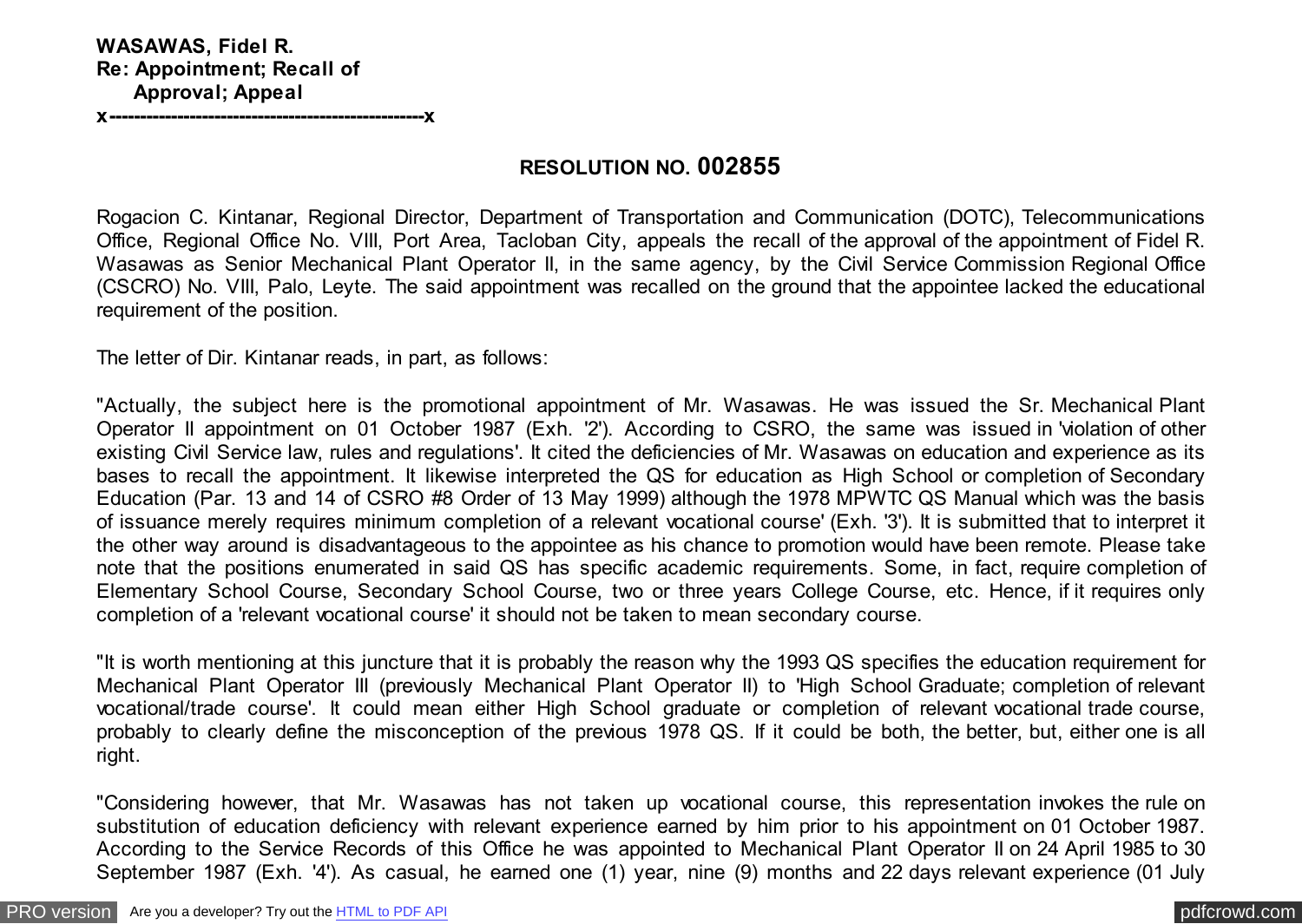**x---------------------------------------------------x**

### **RESOLUTION NO. 002855**

Rogacion C. Kintanar, Regional Director, Department of Transportation and Communication (DOTC), Telecommunications Office, Regional Office No. VIII, Port Area, Tacloban City, appeals the recall of the approval of the appointment of Fidel R. Wasawas as Senior Mechanical Plant Operator II, in the same agency, by the Civil Service Commission Regional Office (CSCRO) No. VIII, Palo, Leyte. The said appointment was recalled on the ground that the appointee lacked the educational requirement of the position.

The letter of Dir. Kintanar reads, in part, as follows:

"Actually, the subject here is the promotional appointment of Mr. Wasawas. He was issued the Sr. Mechanical Plant Operator II appointment on 01 October 1987 (Exh. '2'). According to CSRO, the same was issued in 'violation of other existing Civil Service law, rules and regulations'. It cited the deficiencies of Mr. Wasawas on education and experience as its bases to recall the appointment. It likewise interpreted the QS for education as High School or completion of Secondary Education (Par. 13 and 14 of CSRO #8 Order of 13 May 1999) although the 1978 MPWTC QS Manual which was the basis of issuance merely requires minimum completion of a relevant vocational course' (Exh. '3'). It is submitted that to interpret it the other way around is disadvantageous to the appointee as his chance to promotion would have been remote. Please take note that the positions enumerated in said QS has specific academic requirements. Some, in fact, require completion of Elementary School Course, Secondary School Course, two or three years College Course, etc. Hence, if it requires only completion of a 'relevant vocational course' it should not be taken to mean secondary course.

"It is worth mentioning at this juncture that it is probably the reason why the 1993 QS specifies the education requirement for Mechanical Plant Operator III (previously Mechanical Plant Operator II) to 'High School Graduate; completion of relevant vocational/trade course'. It could mean either High School graduate or completion of relevant vocational trade course, probably to clearly define the misconception of the previous 1978 QS. If it could be both, the better, but, either one is all right.

"Considering however, that Mr. Wasawas has not taken up vocational course, this representation invokes the rule on substitution of education deficiency with relevant experience earned by him prior to his appointment on 01 October 1987. According to the Service Records of this Office he was appointed to Mechanical Plant Operator II on 24 April 1985 to 30 September 1987 (Exh. '4'). As casual, he earned one (1) year, nine (9) months and 22 days relevant experience (01 July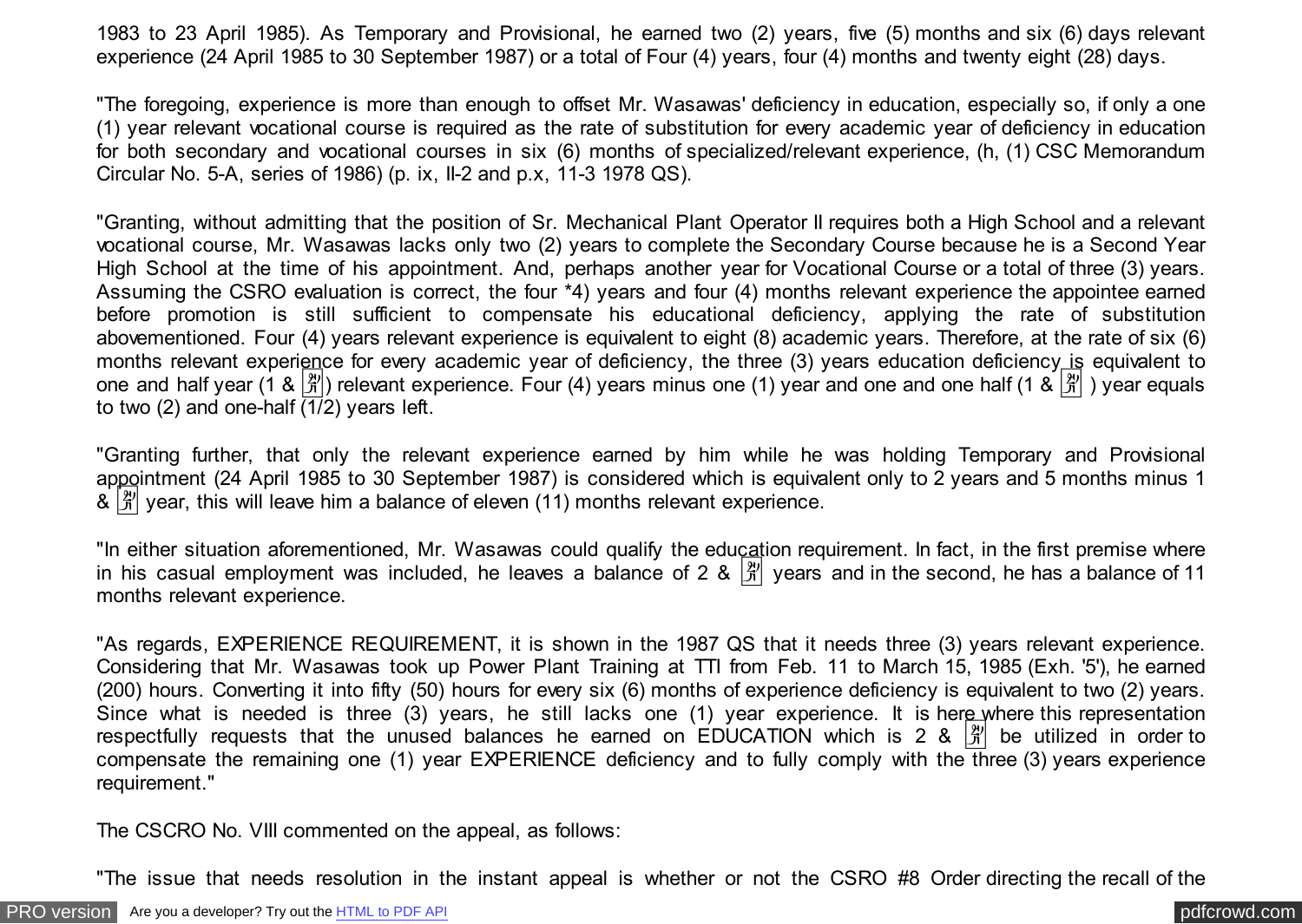1983 to 23 April 1985). As Temporary and Provisional, he earned two (2) years, five (5) months and six (6) days relevant experience (24 April 1985 to 30 September 1987) or a total of Four (4) years, four (4) months and twenty eight (28) days.

"The foregoing, experience is more than enough to offset Mr. Wasawas' deficiency in education, especially so, if only a one (1) year relevant vocational course is required as the rate of substitution for every academic year of deficiency in education for both secondary and vocational courses in six (6) months of specialized/relevant experience, (h, (1) CSC Memorandum Circular No. 5-A, series of 1986) (p. ix, II-2 and p.x, 11-3 1978 QS).

"Granting, without admitting that the position of Sr. Mechanical Plant Operator II requires both a High School and a relevant vocational course, Mr. Wasawas lacks only two (2) years to complete the Secondary Course because he is a Second Year High School at the time of his appointment. And, perhaps another year for Vocational Course or a total of three (3) years. Assuming the CSRO evaluation is correct, the four \*4) years and four (4) months relevant experience the appointee earned before promotion is still sufficient to compensate his educational deficiency, applying the rate of substitution abovementioned. Four (4) years relevant experience is equivalent to eight (8) academic years. Therefore, at the rate of six (6) months relevant experience for every academic year of deficiency, the three (3) years education deficiency is equivalent to one and half year (1 &  $\frac{8}{11}$ ) relevant experience. Four (4) years minus one (1) year and one and one half (1 &  $\frac{8}{11}$ ) year equals to two (2) and one-half  $\overline{(1/2)}$  years left.

"Granting further, that only the relevant experience earned by him while he was holding Temporary and Provisional appointment (24 April 1985 to 30 September 1987) is considered which is equivalent only to 2 years and 5 months minus 1  $\frac{1}{20}$  year, this will leave him a balance of eleven (11) months relevant experience.

"In either situation aforementioned, Mr. Wasawas could qualify the education requirement. In fact, in the first premise where in his casual employment was included, he leaves a balance of 2 &  $\frac{1}{11}$  vears and in the second, he has a balance of 11 months relevant experience.

"As regards, EXPERIENCE REQUIREMENT, it is shown in the 1987 QS that it needs three (3) years relevant experience. Considering that Mr. Wasawas took up Power Plant Training at TTI from Feb. 11 to March 15, 1985 (Exh. '5'), he earned (200) hours. Converting it into fifty (50) hours for every six (6) months of experience deficiency is equivalent to two (2) years. Since what is needed is three (3) years, he still lacks one (1) year experience. It is here where this representation respectfully requests that the unused balances he earned on EDUCATION which is 2 &  $\frac{|\mathfrak{X}|}{|\mathfrak{X}|}$  be utilized in order to compensate the remaining one (1) year EXPERIENCE deficiency and to fully comply with the three (3) years experience requirement."

The CSCRO No. VIII commented on the appeal, as follows:

"The issue that needs resolution in the instant appeal is whether or not the CSRO #8 Order directing the recall of the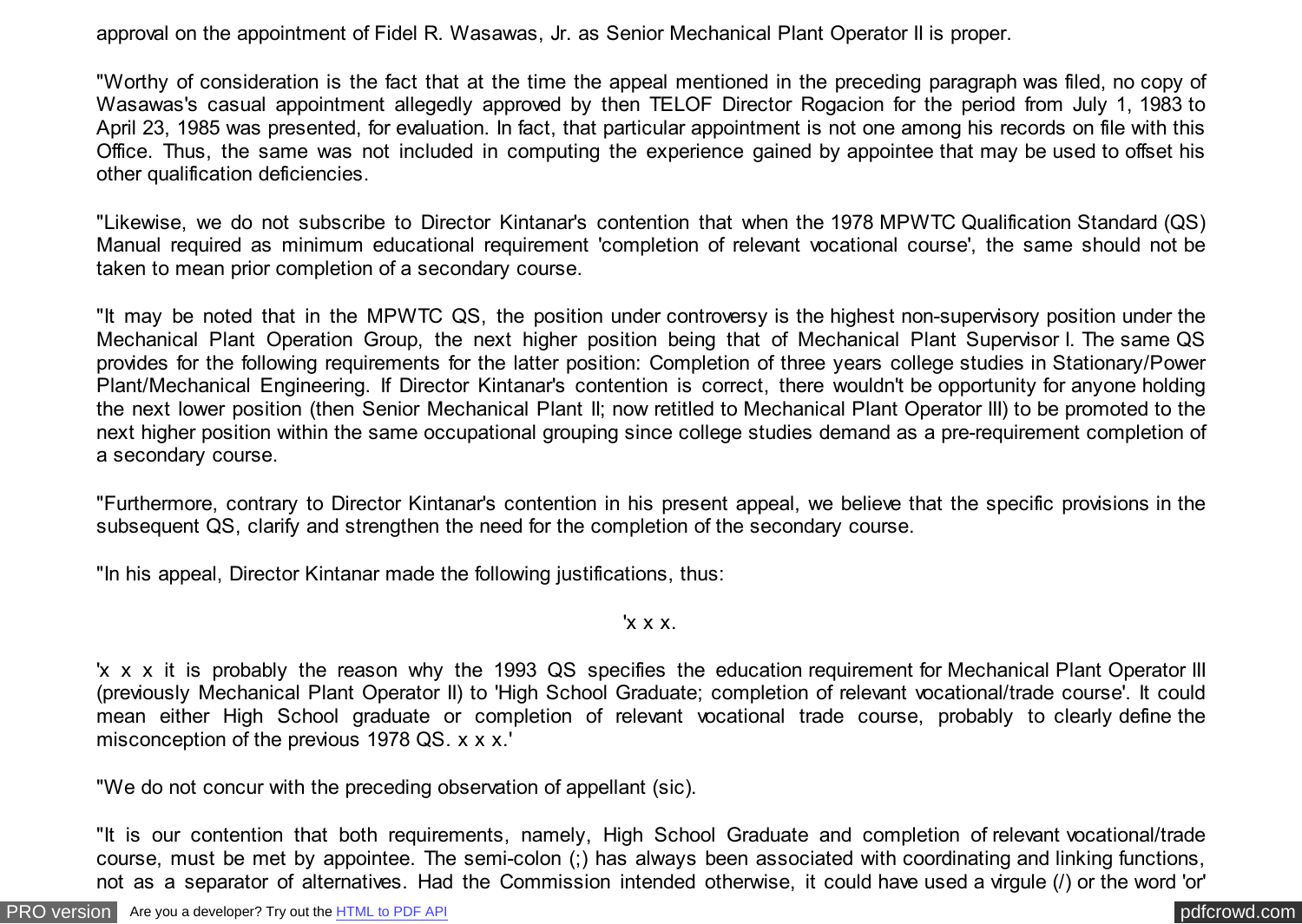approval on the appointment of Fidel R. Wasawas, Jr. as Senior Mechanical Plant Operator II is proper.

"Worthy of consideration is the fact that at the time the appeal mentioned in the preceding paragraph was filed, no copy of Wasawas's casual appointment allegedly approved by then TELOF Director Rogacion for the period from July 1, 1983 to April 23, 1985 was presented, for evaluation. In fact, that particular appointment is not one among his records on file with this Office. Thus, the same was not included in computing the experience gained by appointee that may be used to offset his other qualification deficiencies.

"Likewise, we do not subscribe to Director Kintanar's contention that when the 1978 MPWTC Qualification Standard (QS) Manual required as minimum educational requirement 'completion of relevant vocational course', the same should not be taken to mean prior completion of a secondary course.

"It may be noted that in the MPWTC QS, the position under controversy is the highest non-supervisory position under the Mechanical Plant Operation Group, the next higher position being that of Mechanical Plant Supervisor I. The same QS provides for the following requirements for the latter position: Completion of three years college studies in Stationary/Power Plant/Mechanical Engineering. If Director Kintanar's contention is correct, there wouldn't be opportunity for anyone holding the next lower position (then Senior Mechanical Plant II; now retitled to Mechanical Plant Operator III) to be promoted to the next higher position within the same occupational grouping since college studies demand as a pre-requirement completion of a secondary course.

"Furthermore, contrary to Director Kintanar's contention in his present appeal, we believe that the specific provisions in the subsequent QS, clarify and strengthen the need for the completion of the secondary course.

"In his appeal, Director Kintanar made the following justifications, thus:

'x x x.

'x x x it is probably the reason why the 1993 QS specifies the education requirement for Mechanical Plant Operator III (previously Mechanical Plant Operator II) to 'High School Graduate; completion of relevant vocational/trade course'. It could mean either High School graduate or completion of relevant vocational trade course, probably to clearly define the misconception of the previous 1978 QS. x x x.'

"We do not concur with the preceding observation of appellant (sic).

"It is our contention that both requirements, namely, High School Graduate and completion of relevant vocational/trade course, must be met by appointee. The semi-colon (;) has always been associated with coordinating and linking functions, not as a separator of alternatives. Had the Commission intended otherwise, it could have used a virgule (/) or the word 'or'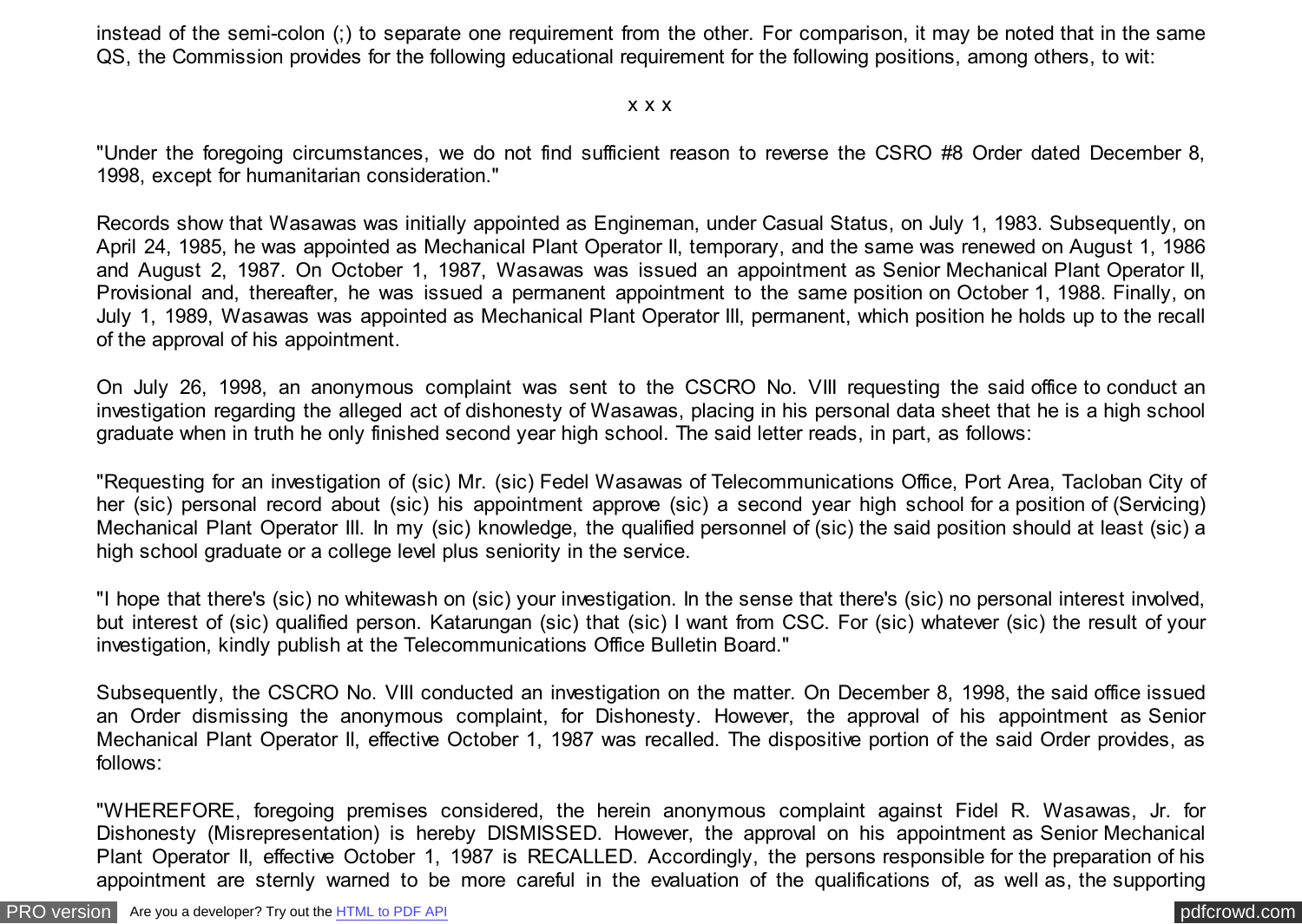instead of the semi-colon (;) to separate one requirement from the other. For comparison, it may be noted that in the same QS, the Commission provides for the following educational requirement for the following positions, among others, to wit:

#### x x x

"Under the foregoing circumstances, we do not find sufficient reason to reverse the CSRO #8 Order dated December 8, 1998, except for humanitarian consideration."

Records show that Wasawas was initially appointed as Engineman, under Casual Status, on July 1, 1983. Subsequently, on April 24, 1985, he was appointed as Mechanical Plant Operator II, temporary, and the same was renewed on August 1, 1986 and August 2, 1987. On October 1, 1987, Wasawas was issued an appointment as Senior Mechanical Plant Operator II, Provisional and, thereafter, he was issued a permanent appointment to the same position on October 1, 1988. Finally, on July 1, 1989, Wasawas was appointed as Mechanical Plant Operator III, permanent, which position he holds up to the recall of the approval of his appointment.

On July 26, 1998, an anonymous complaint was sent to the CSCRO No. VIII requesting the said office to conduct an investigation regarding the alleged act of dishonesty of Wasawas, placing in his personal data sheet that he is a high school graduate when in truth he only finished second year high school. The said letter reads, in part, as follows:

"Requesting for an investigation of (sic) Mr. (sic) Fedel Wasawas of Telecommunications Office, Port Area, Tacloban City of her (sic) personal record about (sic) his appointment approve (sic) a second year high school for a position of (Servicing) Mechanical Plant Operator III. In my (sic) knowledge, the qualified personnel of (sic) the said position should at least (sic) a high school graduate or a college level plus seniority in the service.

"I hope that there's (sic) no whitewash on (sic) your investigation. In the sense that there's (sic) no personal interest involved, but interest of (sic) qualified person. Katarungan (sic) that (sic) I want from CSC. For (sic) whatever (sic) the result of your investigation, kindly publish at the Telecommunications Office Bulletin Board."

Subsequently, the CSCRO No. VIII conducted an investigation on the matter. On December 8, 1998, the said office issued an Order dismissing the anonymous complaint, for Dishonesty. However, the approval of his appointment as Senior Mechanical Plant Operator II, effective October 1, 1987 was recalled. The dispositive portion of the said Order provides, as follows:

"WHEREFORE, foregoing premises considered, the herein anonymous complaint against Fidel R. Wasawas, Jr. for Dishonesty (Misrepresentation) is hereby DISMISSED. However, the approval on his appointment as Senior Mechanical Plant Operator II, effective October 1, 1987 is RECALLED. Accordingly, the persons responsible for the preparation of his appointment are sternly warned to be more careful in the evaluation of the qualifications of, as well as, the supporting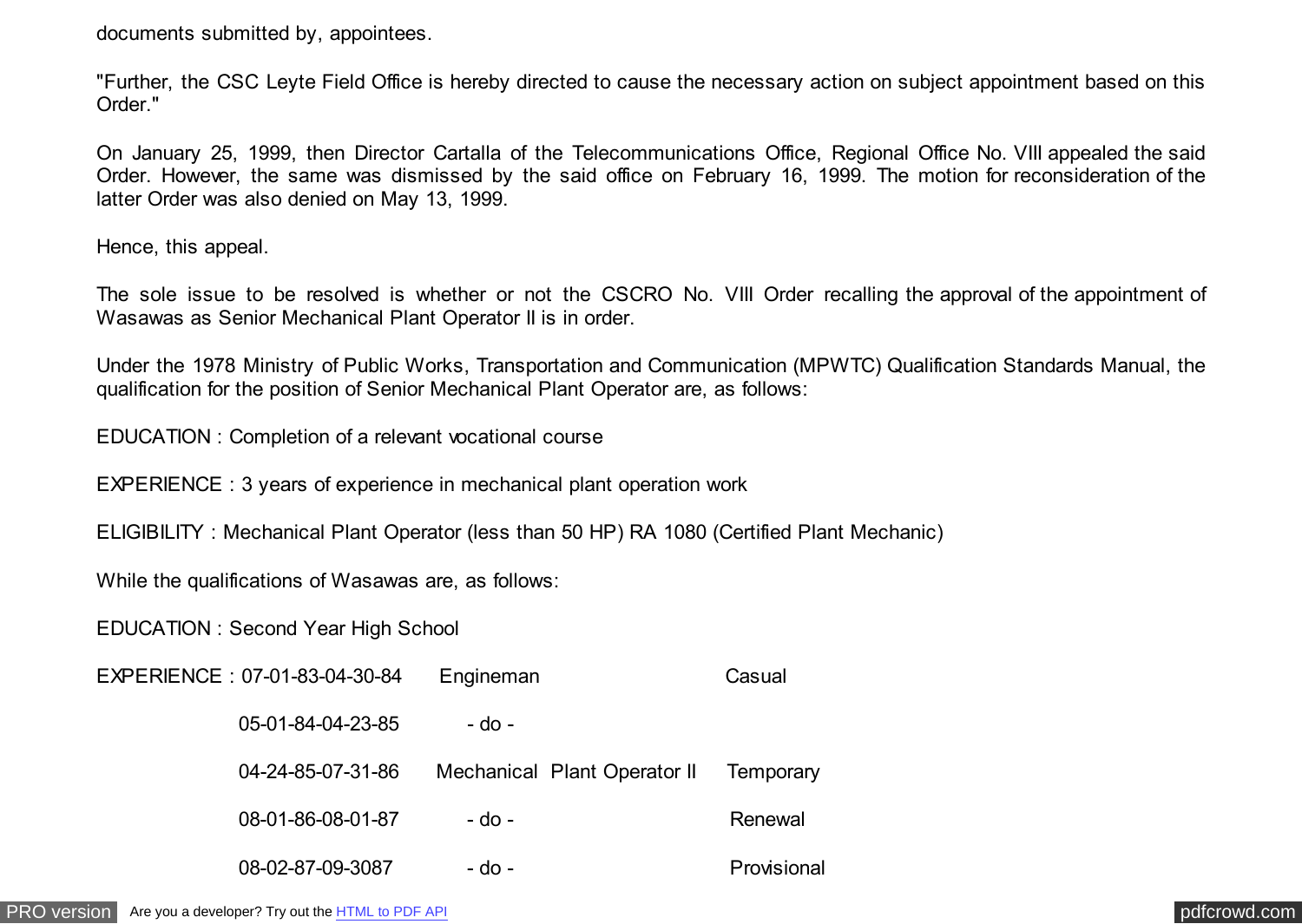documents submitted by, appointees.

"Further, the CSC Leyte Field Office is hereby directed to cause the necessary action on subject appointment based on this Order."

On January 25, 1999, then Director Cartalla of the Telecommunications Office, Regional Office No. VIII appealed the said Order. However, the same was dismissed by the said office on February 16, 1999. The motion for reconsideration of the latter Order was also denied on May 13, 1999.

Hence, this appeal.

The sole issue to be resolved is whether or not the CSCRO No. VIII Order recalling the approval of the appointment of Wasawas as Senior Mechanical Plant Operator II is in order.

Under the 1978 Ministry of Public Works, Transportation and Communication (MPWTC) Qualification Standards Manual, the qualification for the position of Senior Mechanical Plant Operator are, as follows:

EDUCATION : Completion of a relevant vocational course

EXPERIENCE : 3 years of experience in mechanical plant operation work

ELIGIBILITY : Mechanical Plant Operator (less than 50 HP) RA 1080 (Certified Plant Mechanic)

While the qualifications of Wasawas are, as follows:

EDUCATION : Second Year High School

| EXPERIENCE: 07-01-83-04-30-84 | Engineman                    | Casual      |
|-------------------------------|------------------------------|-------------|
| 05-01-84-04-23-85             | - do -                       |             |
| 04-24-85-07-31-86             | Mechanical Plant Operator II | Temporary   |
| 08-01-86-08-01-87             | $-$ do $-$                   | Renewal     |
| 08-02-87-09-3087              | - do -                       | Provisional |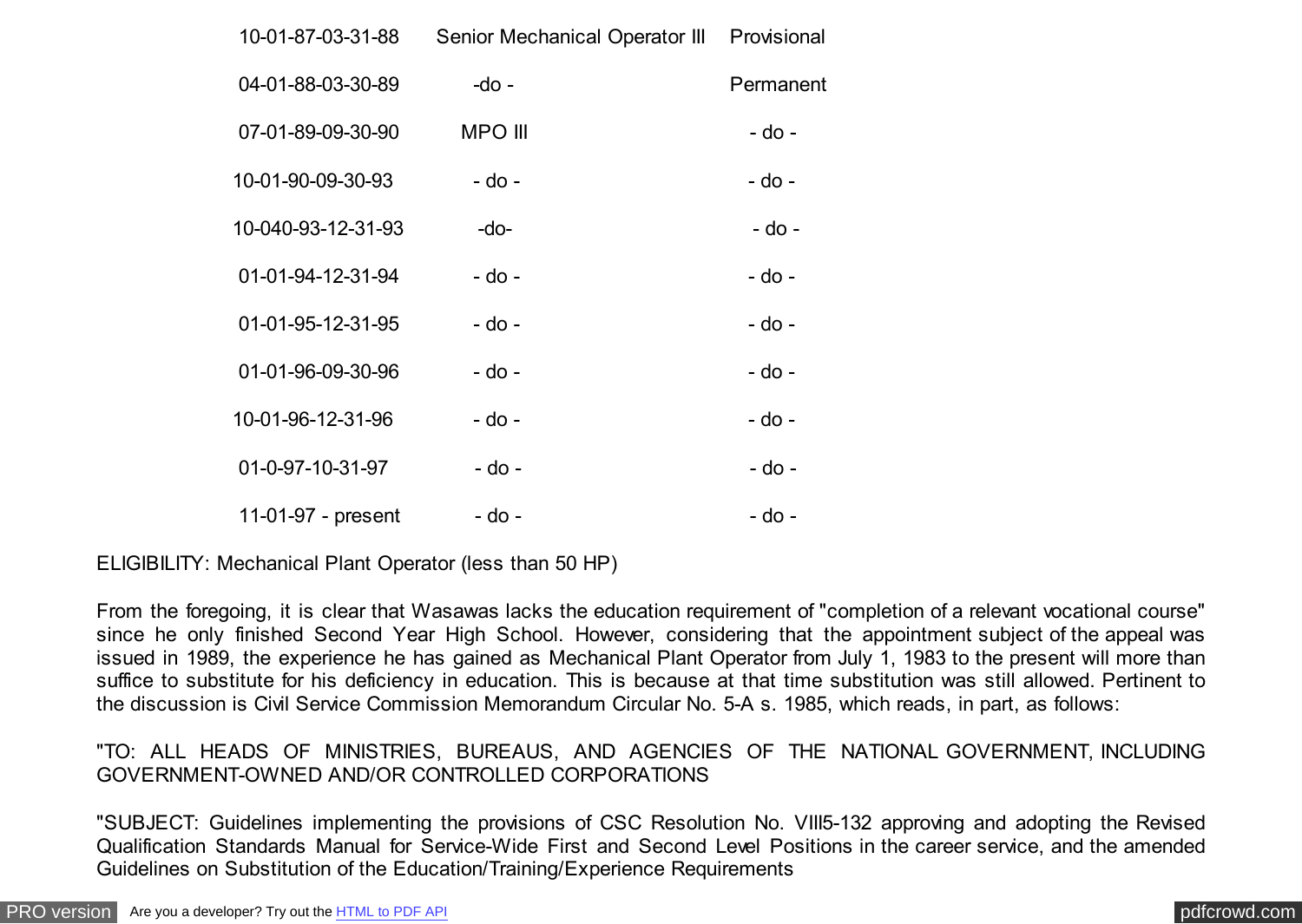| 10-01-87-03-31-88  | Senior Mechanical Operator III Provisional |           |
|--------------------|--------------------------------------------|-----------|
| 04-01-88-03-30-89  | -do -                                      | Permanent |
| 07-01-89-09-30-90  | <b>MPO III</b>                             | - do -    |
| 10-01-90-09-30-93  | - do -                                     | - do -    |
| 10-040-93-12-31-93 | $-do-$                                     | - do -    |
| 01-01-94-12-31-94  | - do -                                     | - do -    |
| 01-01-95-12-31-95  | - do -                                     | - do -    |
| 01-01-96-09-30-96  | - do -                                     | - do -    |
| 10-01-96-12-31-96  | - do -                                     | - do -    |
| 01-0-97-10-31-97   | - do -                                     | - do -    |
| 11-01-97 - present | - do -                                     | - do -    |

ELIGIBILITY: Mechanical Plant Operator (less than 50 HP)

From the foregoing, it is clear that Wasawas lacks the education requirement of "completion of a relevant vocational course" since he only finished Second Year High School. However, considering that the appointment subject of the appeal was issued in 1989, the experience he has gained as Mechanical Plant Operator from July 1, 1983 to the present will more than suffice to substitute for his deficiency in education. This is because at that time substitution was still allowed. Pertinent to the discussion is Civil Service Commission Memorandum Circular No. 5-A s. 1985, which reads, in part, as follows:

### "TO: ALL HEADS OF MINISTRIES, BUREAUS, AND AGENCIES OF THE NATIONAL GOVERNMENT, INCLUDING GOVERNMENT-OWNED AND/OR CONTROLLED CORPORATIONS

"SUBJECT: Guidelines implementing the provisions of CSC Resolution No. VIII5-132 approving and adopting the Revised Qualification Standards Manual for Service-Wide First and Second Level Positions in the career service, and the amended Guidelines on Substitution of the Education/Training/Experience Requirements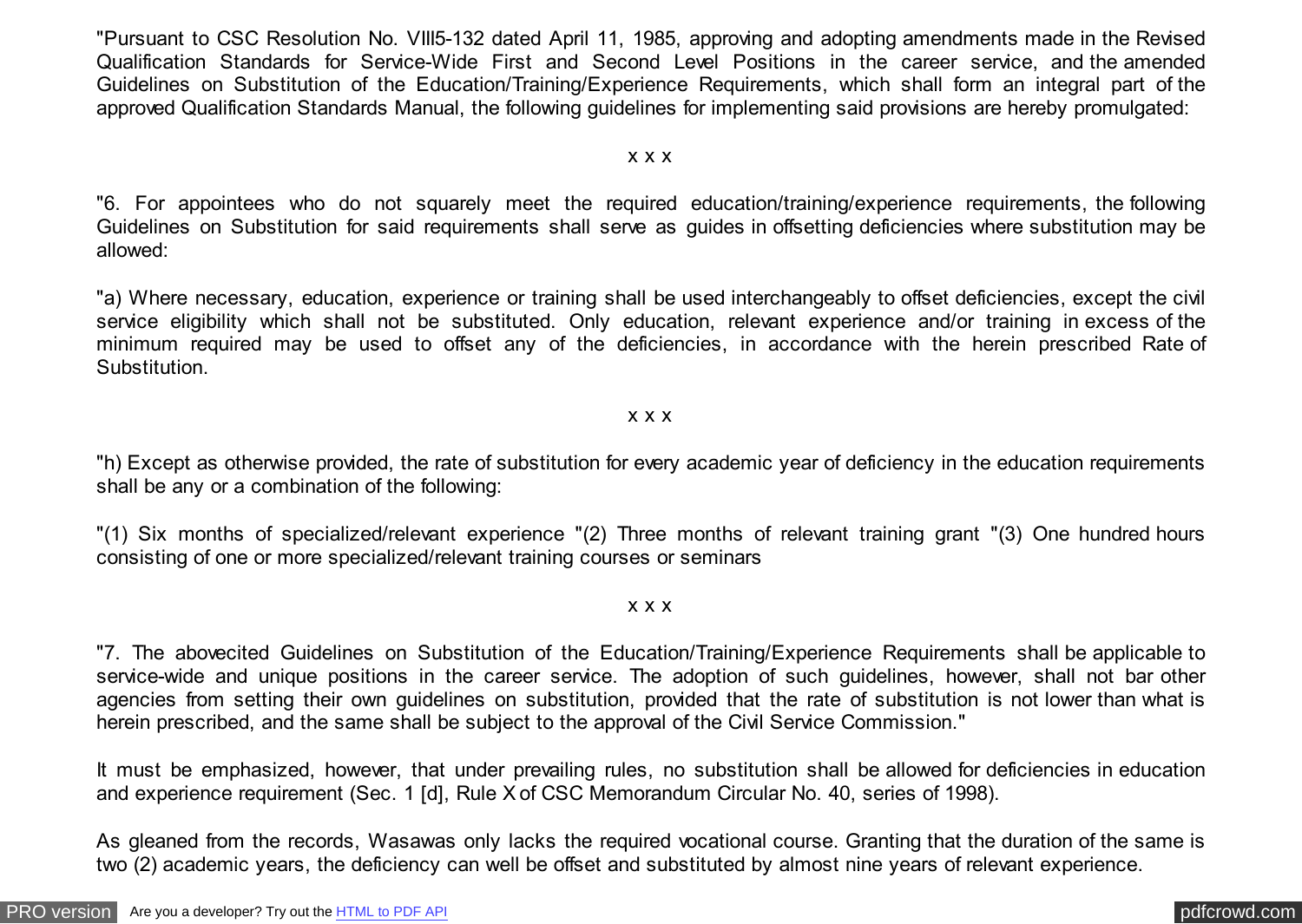"Pursuant to CSC Resolution No. VIII5-132 dated April 11, 1985, approving and adopting amendments made in the Revised Qualification Standards for Service-Wide First and Second Level Positions in the career service, and the amended Guidelines on Substitution of the Education/Training/Experience Requirements, which shall form an integral part of the approved Qualification Standards Manual, the following guidelines for implementing said provisions are hereby promulgated:

#### x x x

"6. For appointees who do not squarely meet the required education/training/experience requirements, the following Guidelines on Substitution for said requirements shall serve as guides in offsetting deficiencies where substitution may be allowed:

"a) Where necessary, education, experience or training shall be used interchangeably to offset deficiencies, except the civil service eligibility which shall not be substituted. Only education, relevant experience and/or training in excess of the minimum required may be used to offset any of the deficiencies, in accordance with the herein prescribed Rate of Substitution.

#### x x x

"h) Except as otherwise provided, the rate of substitution for every academic year of deficiency in the education requirements shall be any or a combination of the following:

"(1) Six months of specialized/relevant experience "(2) Three months of relevant training grant "(3) One hundred hours consisting of one or more specialized/relevant training courses or seminars

#### x x x

"7. The abovecited Guidelines on Substitution of the Education/Training/Experience Requirements shall be applicable to service-wide and unique positions in the career service. The adoption of such guidelines, however, shall not bar other agencies from setting their own guidelines on substitution, provided that the rate of substitution is not lower than what is herein prescribed, and the same shall be subject to the approval of the Civil Service Commission."

It must be emphasized, however, that under prevailing rules, no substitution shall be allowed for deficiencies in education and experience requirement (Sec. 1 [d], Rule X of CSC Memorandum Circular No. 40, series of 1998).

As gleaned from the records, Wasawas only lacks the required vocational course. Granting that the duration of the same is two (2) academic years, the deficiency can well be offset and substituted by almost nine years of relevant experience.